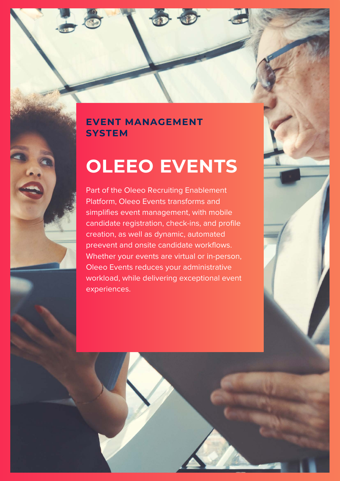# **EVENT MANAGEMENT SYSTEM**

# **OLEEO EVENTS**

Part of the Oleeo Recruiting Enablement Platform, Oleeo Events transforms and simplifies event management, with mobile candidate registration, check-ins, and profile creation, as well as dynamic, automated preevent and onsite candidate workflows. Whether your events are virtual or in-person, Oleeo Events reduces your administrative workload, while delivering exceptional event experiences.

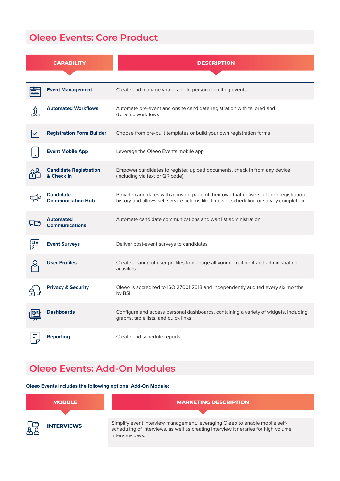# **Oleeo Events: Core Product**

| <b>CAPABILITY</b>                            | <b>DESCRIPTION</b>                                                                                                                                                                 |
|----------------------------------------------|------------------------------------------------------------------------------------------------------------------------------------------------------------------------------------|
|                                              |                                                                                                                                                                                    |
| <b>Event Management</b>                      | Create and manage virtual and in person recruiting events                                                                                                                          |
| <b>Automated Workflows</b>                   | Automate pre-event and onsite candidate registration with tailored and<br>dynamic workflows                                                                                        |
| <b>Registration Form Builder</b>             | Choose from pre-built templates or build your own registration forms                                                                                                               |
| <b>Event Mobile App</b>                      | Leverage the Oleeo Events mobile app                                                                                                                                               |
| <b>Candidate Registration</b><br>& Check In  | Empower candidates to register, upload documents, check in from any device<br>(including via text or QR code)                                                                      |
| <b>Candidate</b><br><b>Communication Hub</b> | Provide candidates with a private page of their own that delivers all their registration<br>history and allows self service actions like time slot scheduling or survey completion |
| <b>Automated</b><br><b>Communications</b>    | Automate candidate communications and wait list administration                                                                                                                     |
| <b>Event Surveys</b>                         | Deliver post-event surveys to candidates                                                                                                                                           |
| <b>User Profiles</b>                         | Create a range of user profiles to manage all your recruitment and administration<br>activities                                                                                    |
| <b>Privacy &amp; Security</b>                | Oleeo is accredited to ISO 27001:2013 and independently audited every six months<br>by BSI                                                                                         |
| <b>Dashboards</b>                            | Configure and access personal dashboards, containing a variety of widgets, including<br>graphs, table lists, and quick links                                                       |
| <b>Reporting</b>                             | Create and schedule reports                                                                                                                                                        |

# **Oleeo Events: Add-On Modules**

**Oleeo Events includes the following optional Add-On Module:**